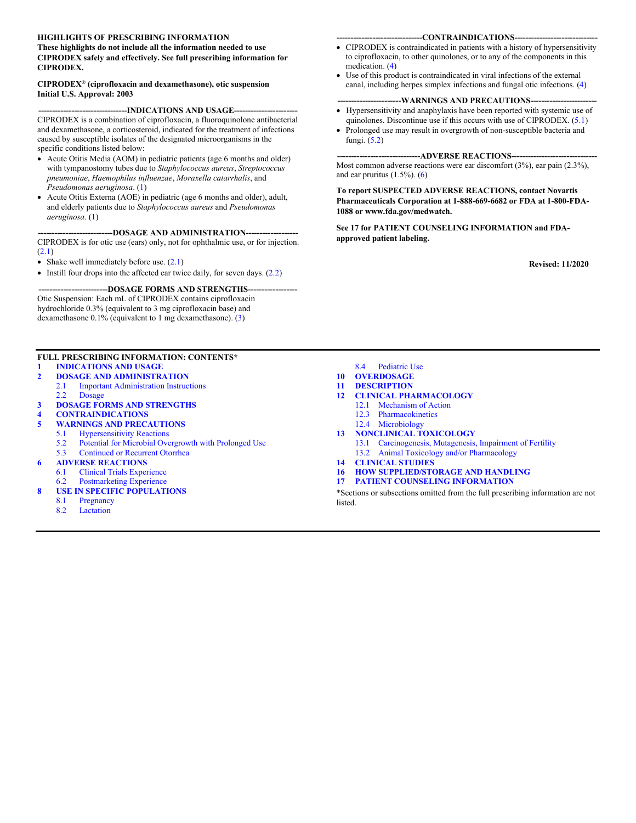#### **HIGHLIGHTS OF PRESCRIBING INFORMATION**

#### **These highlights do not include all the information needed to use CIPRODEX safely and effectively. See full prescribing information for CIPRODEX.**

#### **CIPRODEX® (ciprofloxacin and dexamethasone), otic suspension Initial U.S. Approval: 2003**

#### --INDICATIONS AND USAGE--

CIPRODEX is a combination of ciprofloxacin, a fluoroquinolone antibacterial and dexamethasone, a corticosteroid, indicated for the treatment of infections caused by susceptible isolates of the designated microorganisms in the specific conditions listed below:

- Acute Otitis Media (AOM) in pediatric patients (age 6 months and older) with tympanostomy tubes due to *Staphylococcus aureus*, *Streptococcus pneumoniae*, *Haemophilus influenzae*, *Moraxella catarrhalis*, and *Pseudomonas aeruginosa*. ([1\)](#page-1-0)
- Acute Otitis Externa (AOE) in pediatric (age 6 months and older), adult, and elderly patients due to *Staphylococcus aureus* and *Pseudomonas aeruginosa*. [\(1](#page-1-0))

#### ---DOSAGE AND ADMINISTRATION--CIPRODEX is for otic use (ears) only, not for ophthalmic use, or for injection. ([2.1\)](#page-1-0)

- Shake well immediately before use.  $(2.1)$  $(2.1)$
- $\bullet$  Instill four drops into the affected ear twice daily, for seven days. ([2.2\)](#page-1-0)

#### --DOSAGE FORMS AND STRENGTHS--Otic Suspension: Each mL of CIPRODEX contains ciprofloxacin

hydrochloride 0.3% (equivalent to 3 mg ciprofloxacin base) and dexamethasone 0.1% (equivalent to 1 mg dexamethasone). [\(3](#page-1-0))

#### **FULL PRESCRIBING INFORMATION: CONTENTS\***

- **1 [INDICATIONS AND USAGE](#page-1-0)**
- **2 DOSAGE AND [ADMINISTRATION](#page-1-0)**
- 2.1 Important [Administration](#page-1-0) Instructions 2.2 [Dosage](#page-1-0)
- **3 DOSAGE FORMS AND [STRENGTHS](#page-1-0)**
- **4 [CONTRAINDICATIONS](#page-1-0)**
- **5 WARNINGS AND [PRECAUTIONS](#page-2-0)**
	- **[Hypersensitivity](#page-2-0) Reactions**
	- 5.2 Potential for Microbial [Overgrowth](#page-2-0) with Prolonged Use
	- 5.3 [Continued](#page-2-0) or Recurrent Otorrhea
- **6 ADVERSE [REACTIONS](#page-2-0)**
- 6.1 Clinical Trials [Experience](#page-2-0)
- 6.2 [Postmarketing](#page-3-0) Experience
- **8 USE IN SPECIFIC [POPULATIONS](#page-3-0)**
	- 8.1 [Pregnancy](#page-3-0)
	- 8.2 [Lactation](#page-4-0)
- -CONTRAINDICATIONS---
- CIPRODEX is contraindicated in patients with a history of hypersensitivity to ciprofloxacin, to other quinolones, or to any of the components in this medication. [\(4](#page-1-0))
- Use of this product is contraindicated in viral infections of the external canal, including herpes simplex infections and fungal otic infections. [\(4](#page-1-0))

#### ---WARNINGS AND PRECAUTIONS---

- Hypersensitivity and anaphylaxis have been reported with systemic use of quinolones. Discontinue use if this occurs with use of CIPRODEX. [\(5.1](#page-2-0))
- Prolonged use may result in overgrowth of non-susceptible bacteria and fungi. ([5.2\)](#page-2-0)

#### **------------------------------ADVERSE REACTIONS-------------------------------**

Most common adverse reactions were ear discomfort (3%), ear pain (2.3%), and ear pruritus (1.5%). [\(6\)](#page-2-0)

**To report SUSPECTED ADVERSE REACTIONS, contact Novartis Pharmaceuticals Corporation at 1-888-669-6682 or FDA at 1-800-FDA-1088 or www.fda.gov/medwatch.**

**See 17 for PATIENT COUNSELING INFORMATION and FDAapproved patient labeling.**

**Revised: 11/2020**

- 8.4 [Pediatric Use](#page-4-0)
- **10 [OVERDOSAGE](#page-4-0)**
- **11 [DESCRIPTION](#page-4-0)**
- **12 CLINICAL [PHARMACOLOGY](#page-5-0)** 12.1 [Mechanism](#page-5-0) of Action
	- 12.3 [Pharmacokinetics](#page-5-0)
	- 12.4 [Microbiology](#page-6-0)
- **13 [NONCLINICAL](#page-6-0) TOXICOLOGY**
	- 13.1 Carcinogenesis, Mutagenesis, [Impairment of Fertility](#page-6-0)
		- 13.2 Animal Toxicology and/or [Pharmacology](#page-7-0)
- **14 [CLINICAL](#page-7-0) STUDIES**
- **16 HOW [SUPPLIED/STORAGE](#page-7-0) AND HANDLING**
- **17 PATIENT COUNSELING [INFORMATION](#page-7-0)**

\*Sections or subsections omitted from the full prescribing information are not listed.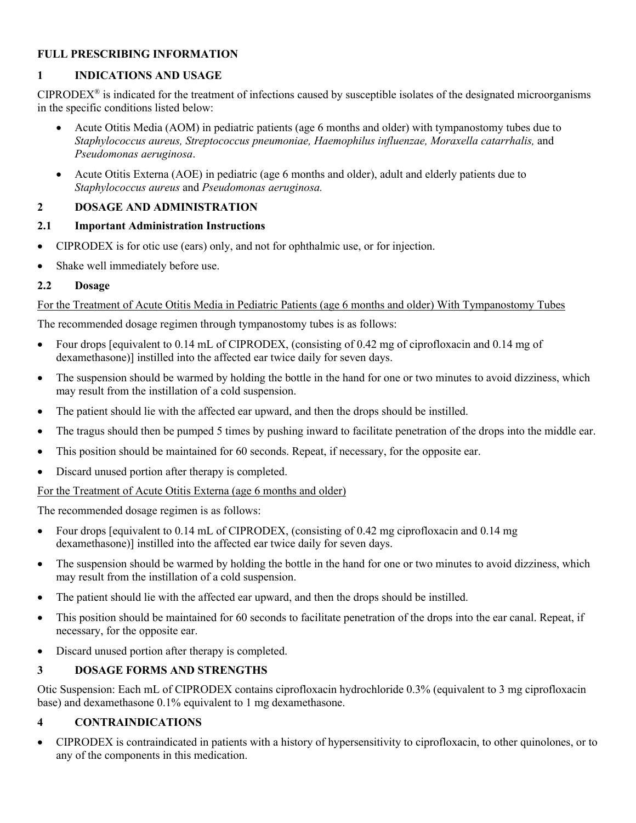# <span id="page-1-0"></span>**FULL PRESCRIBING INFORMATION**

# **1 INDICATIONS AND USAGE**

 $CIPRODEX<sup>®</sup>$  is indicated for the treatment of infections caused by susceptible isolates of the designated microorganisms in the specific conditions listed below:

- Acute Otitis Media (AOM) in pediatric patients (age 6 months and older) with tympanostomy tubes due to *Staphylococcus aureus, Streptococcus pneumoniae, Haemophilus influenzae, Moraxella catarrhalis,* and *Pseudomonas aeruginosa*.
- Acute Otitis Externa (AOE) in pediatric (age 6 months and older), adult and elderly patients due to *Staphylococcus aureus* and *Pseudomonas aeruginosa.*

# **2 DOSAGE AND ADMINISTRATION**

## **2.1 Important Administration Instructions**

- CIPRODEX is for otic use (ears) only, and not for ophthalmic use, or for injection.
- Shake well immediately before use.

# **2.2 Dosage**

# For the Treatment of Acute Otitis Media in Pediatric Patients (age 6 months and older) With Tympanostomy Tubes

The recommended dosage regimen through tympanostomy tubes is as follows:

- Four drops [equivalent to 0.14 mL of CIPRODEX, (consisting of 0.42 mg of ciprofloxacin and 0.14 mg of dexamethasone)] instilled into the affected ear twice daily for seven days.
- The suspension should be warmed by holding the bottle in the hand for one or two minutes to avoid dizziness, which may result from the instillation of a cold suspension.
- The patient should lie with the affected ear upward, and then the drops should be instilled.
- The tragus should then be pumped 5 times by pushing inward to facilitate penetration of the drops into the middle ear.
- This position should be maintained for 60 seconds. Repeat, if necessary, for the opposite ear.
- Discard unused portion after therapy is completed.

# For the Treatment of Acute Otitis Externa (age 6 months and older)

The recommended dosage regimen is as follows:

- Four drops [equivalent to 0.14 mL of CIPRODEX, (consisting of 0.42 mg ciprofloxacin and 0.14 mg dexamethasone)] instilled into the affected ear twice daily for seven days.
- The suspension should be warmed by holding the bottle in the hand for one or two minutes to avoid dizziness, which may result from the instillation of a cold suspension.
- The patient should lie with the affected ear upward, and then the drops should be instilled.
- This position should be maintained for 60 seconds to facilitate penetration of the drops into the ear canal. Repeat, if necessary, for the opposite ear.
- Discard unused portion after therapy is completed.

# **3 DOSAGE FORMS AND STRENGTHS**

Otic Suspension: Each mL of CIPRODEX contains ciprofloxacin hydrochloride 0.3% (equivalent to 3 mg ciprofloxacin base) and dexamethasone 0.1% equivalent to 1 mg dexamethasone.

# **4 CONTRAINDICATIONS**

 CIPRODEX is contraindicated in patients with a history of hypersensitivity to ciprofloxacin, to other quinolones, or to any of the components in this medication.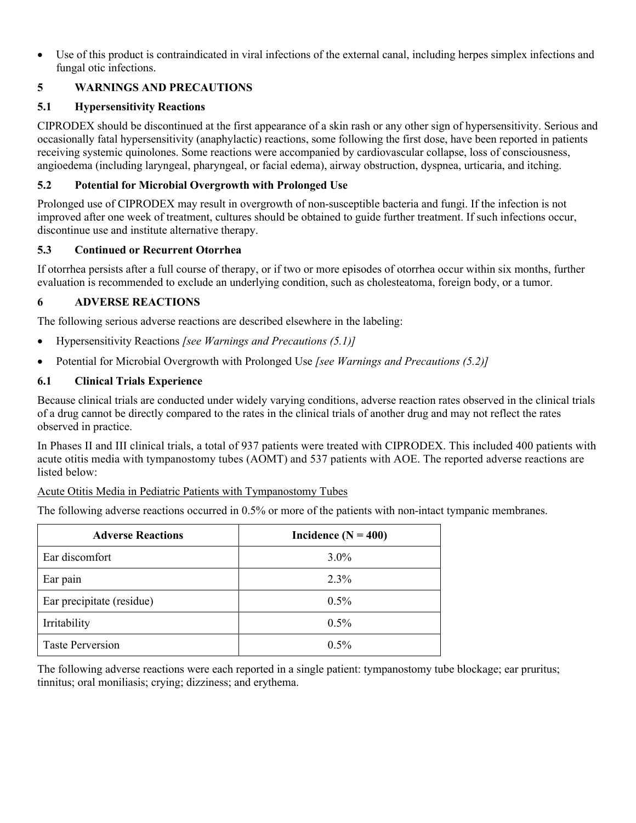<span id="page-2-0"></span> Use of this product is contraindicated in viral infections of the external canal, including herpes simplex infections and fungal otic infections.

# **5 WARNINGS AND PRECAUTIONS**

# **5.1 Hypersensitivity Reactions**

CIPRODEX should be discontinued at the first appearance of a skin rash or any other sign of hypersensitivity. Serious and occasionally fatal hypersensitivity (anaphylactic) reactions, some following the first dose, have been reported in patients receiving systemic quinolones. Some reactions were accompanied by cardiovascular collapse, loss of consciousness, angioedema (including laryngeal, pharyngeal, or facial edema), airway obstruction, dyspnea, urticaria, and itching.

# **5.2 Potential for Microbial Overgrowth with Prolonged Use**

Prolonged use of CIPRODEX may result in overgrowth of non-susceptible bacteria and fungi. If the infection is not improved after one week of treatment, cultures should be obtained to guide further treatment. If such infections occur, discontinue use and institute alternative therapy.

# **5.3 Continued or Recurrent Otorrhea**

If otorrhea persists after a full course of therapy, or if two or more episodes of otorrhea occur within six months, further evaluation is recommended to exclude an underlying condition, such as cholesteatoma, foreign body, or a tumor.

# **6 ADVERSE REACTIONS**

The following serious adverse reactions are described elsewhere in the labeling:

- Hypersensitivity Reactions *[see Warnings and Precautions (5.1)]*
- Potential for Microbial Overgrowth with Prolonged Use *[see Warnings and Precautions (5.2)]*

# **6.1 Clinical Trials Experience**

Because clinical trials are conducted under widely varying conditions, adverse reaction rates observed in the clinical trials of a drug cannot be directly compared to the rates in the clinical trials of another drug and may not reflect the rates observed in practice.

In Phases II and III clinical trials, a total of 937 patients were treated with CIPRODEX. This included 400 patients with acute otitis media with tympanostomy tubes (AOMT) and 537 patients with AOE. The reported adverse reactions are listed below:

# Acute Otitis Media in Pediatric Patients with Tympanostomy Tubes

The following adverse reactions occurred in 0.5% or more of the patients with non-intact tympanic membranes.

| <b>Adverse Reactions</b>  | Incidence $(N = 400)$ |
|---------------------------|-----------------------|
| Ear discomfort            | $3.0\%$               |
| Ear pain                  | $2.3\%$               |
| Ear precipitate (residue) | $0.5\%$               |
| Irritability              | $0.5\%$               |
| <b>Taste Perversion</b>   | $0.5\%$               |

The following adverse reactions were each reported in a single patient: tympanostomy tube blockage; ear pruritus; tinnitus; oral moniliasis; crying; dizziness; and erythema.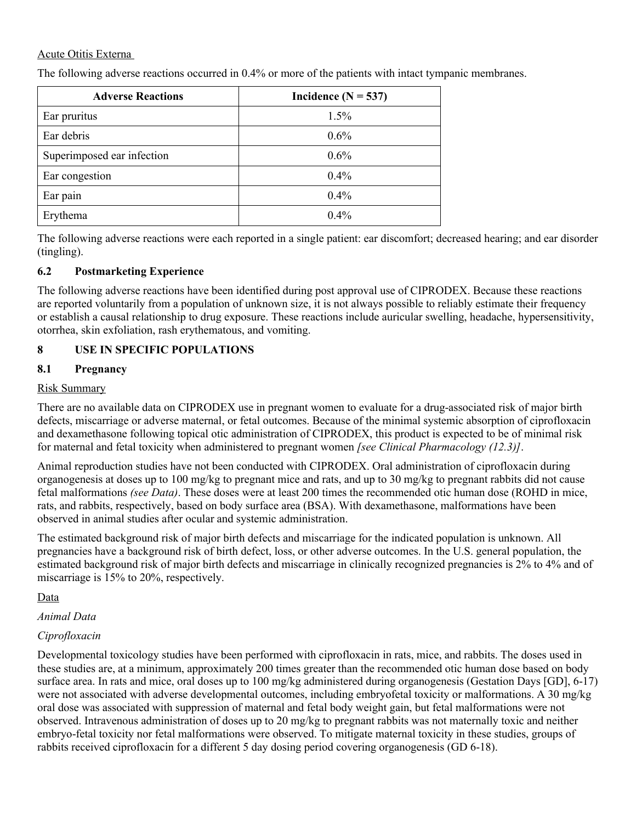### <span id="page-3-0"></span>Acute Otitis Externa

The following adverse reactions occurred in 0.4% or more of the patients with intact tympanic membranes.

| <b>Adverse Reactions</b>   | Incidence $(N = 537)$ |
|----------------------------|-----------------------|
| Ear pruritus               | 1.5%                  |
| Ear debris                 | 0.6%                  |
| Superimposed ear infection | 0.6%                  |
| Ear congestion             | $0.4\%$               |
| Ear pain                   | 0.4%                  |
| Erythema                   | $0.4\%$               |

The following adverse reactions were each reported in a single patient: ear discomfort; decreased hearing; and ear disorder (tingling).

### **6.2 Postmarketing Experience**

The following adverse reactions have been identified during post approval use of CIPRODEX. Because these reactions are reported voluntarily from a population of unknown size, it is not always possible to reliably estimate their frequency or establish a causal relationship to drug exposure. These reactions include auricular swelling, headache, hypersensitivity, otorrhea, skin exfoliation, rash erythematous, and vomiting.

## **8 USE IN SPECIFIC POPULATIONS**

## **8.1 Pregnancy**

### Risk Summary

There are no available data on CIPRODEX use in pregnant women to evaluate for a drug-associated risk of major birth defects, miscarriage or adverse maternal, or fetal outcomes. Because of the minimal systemic absorption of ciprofloxacin and dexamethasone following topical otic administration of CIPRODEX, this product is expected to be of minimal risk for maternal and fetal toxicity when administered to pregnant women *[see Clinical Pharmacology (12.3)]*.

Animal reproduction studies have not been conducted with CIPRODEX. Oral administration of ciprofloxacin during organogenesis at doses up to 100 mg/kg to pregnant mice and rats, and up to 30 mg/kg to pregnant rabbits did not cause fetal malformations *(see Data)*. These doses were at least 200 times the recommended otic human dose (ROHD in mice, rats, and rabbits, respectively, based on body surface area (BSA). With dexamethasone, malformations have been observed in animal studies after ocular and systemic administration.

The estimated background risk of major birth defects and miscarriage for the indicated population is unknown. All pregnancies have a background risk of birth defect, loss, or other adverse outcomes. In the U.S. general population, the estimated background risk of major birth defects and miscarriage in clinically recognized pregnancies is 2% to 4% and of miscarriage is 15% to 20%, respectively.

Data

*Animal Data*

## *Ciprofloxacin*

Developmental toxicology studies have been performed with ciprofloxacin in rats, mice, and rabbits. The doses used in these studies are, at a minimum, approximately 200 times greater than the recommended otic human dose based on body surface area. In rats and mice, oral doses up to 100 mg/kg administered during organogenesis (Gestation Days [GD], 6-17) were not associated with adverse developmental outcomes, including embryofetal toxicity or malformations. A 30 mg/kg oral dose was associated with suppression of maternal and fetal body weight gain, but fetal malformations were not observed. Intravenous administration of doses up to 20 mg/kg to pregnant rabbits was not maternally toxic and neither embryo-fetal toxicity nor fetal malformations were observed. To mitigate maternal toxicity in these studies, groups of rabbits received ciprofloxacin for a different 5 day dosing period covering organogenesis (GD 6-18).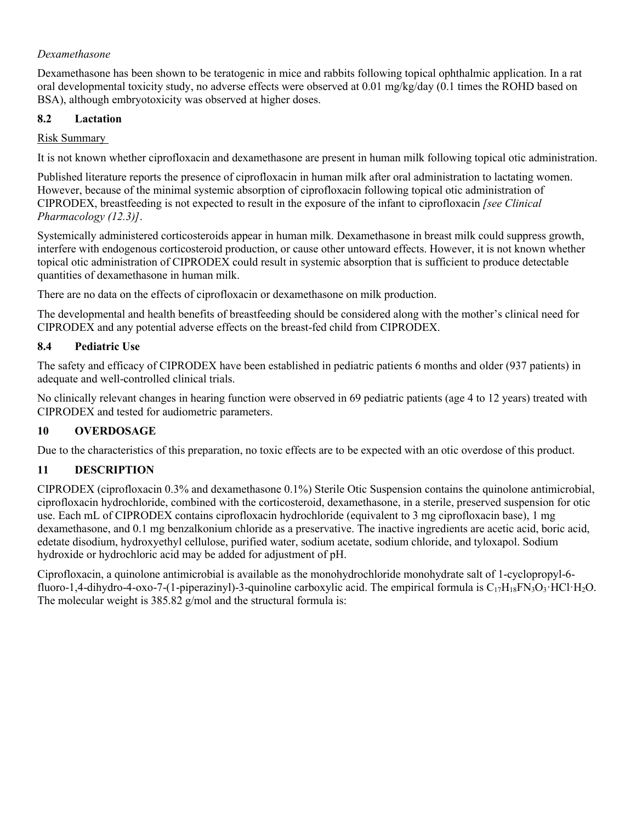# <span id="page-4-0"></span>*Dexamethasone*

Dexamethasone has been shown to be teratogenic in mice and rabbits following topical ophthalmic application. In a rat oral developmental toxicity study, no adverse effects were observed at 0.01 mg/kg/day (0.1 times the ROHD based on BSA), although embryotoxicity was observed at higher doses.

## **8.2 Lactation**

# Risk Summary

It is not known whether ciprofloxacin and dexamethasone are present in human milk following topical otic administration.

Published literature reports the presence of ciprofloxacin in human milk after oral administration to lactating women. However, because of the minimal systemic absorption of ciprofloxacin following topical otic administration of CIPRODEX, breastfeeding is not expected to result in the exposure of the infant to ciprofloxacin *[see Clinical Pharmacology (12.3)]*.

Systemically administered corticosteroids appear in human milk. Dexamethasone in breast milk could suppress growth, interfere with endogenous corticosteroid production, or cause other untoward effects. However, it is not known whether topical otic administration of CIPRODEX could result in systemic absorption that is sufficient to produce detectable quantities of dexamethasone in human milk.

There are no data on the effects of ciprofloxacin or dexamethasone on milk production.

The developmental and health benefits of breastfeeding should be considered along with the mother's clinical need for CIPRODEX and any potential adverse effects on the breast-fed child from CIPRODEX.

# **8.4 Pediatric Use**

The safety and efficacy of CIPRODEX have been established in pediatric patients 6 months and older (937 patients) in adequate and well-controlled clinical trials.

No clinically relevant changes in hearing function were observed in 69 pediatric patients (age 4 to 12 years) treated with CIPRODEX and tested for audiometric parameters.

# **10 OVERDOSAGE**

Due to the characteristics of this preparation, no toxic effects are to be expected with an otic overdose of this product.

# **11 DESCRIPTION**

CIPRODEX (ciprofloxacin 0.3% and dexamethasone 0.1%) Sterile Otic Suspension contains the quinolone antimicrobial, ciprofloxacin hydrochloride, combined with the corticosteroid, dexamethasone, in a sterile, preserved suspension for otic use. Each mL of CIPRODEX contains ciprofloxacin hydrochloride (equivalent to 3 mg ciprofloxacin base), 1 mg dexamethasone, and 0.1 mg benzalkonium chloride as a preservative. The inactive ingredients are acetic acid, boric acid, edetate disodium, hydroxyethyl cellulose, purified water, sodium acetate, sodium chloride, and tyloxapol. Sodium hydroxide or hydrochloric acid may be added for adjustment of pH.

Ciprofloxacin, a quinolone antimicrobial is available as the monohydrochloride monohydrate salt of 1-cyclopropyl-6 fluoro-1,4-dihydro-4-oxo-7-(1-piperazinyl)-3-quinoline carboxylic acid. The empirical formula is  $C_{17}H_{18}FN_3O_3$ ·HCl·H<sub>2</sub>O. The molecular weight is 385.82 g/mol and the structural formula is: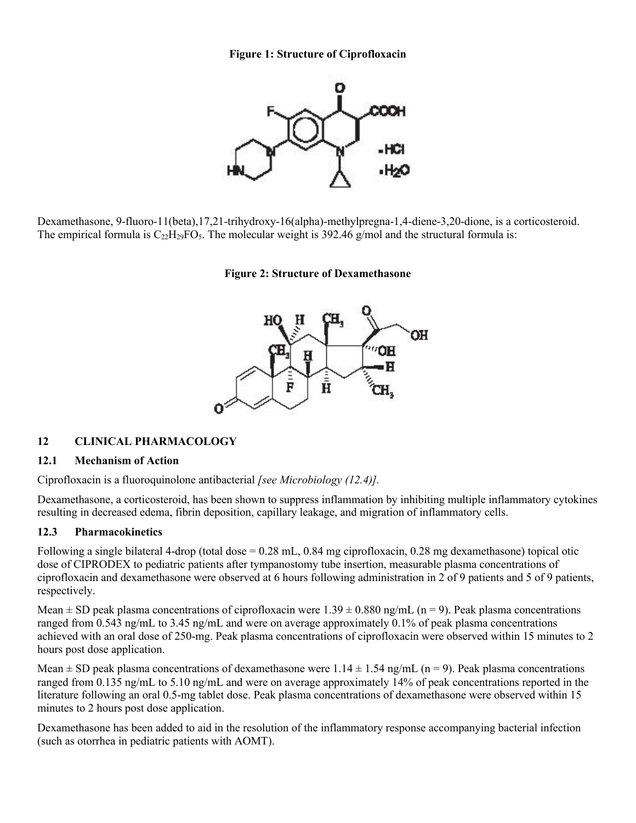**Figure 1: Structure of Ciprofloxacin**



<span id="page-5-0"></span>Dexamethasone, 9-fluoro-11(beta),17,21-trihydroxy-16(alpha)-methylpregna-1,4-diene-3,20-dione, is a corticosteroid. The empirical formula is  $C_{22}H_{29}FO_5$ . The molecular weight is 392.46 g/mol and the structural formula is:

**Figure 2: Structure of Dexamethasone**



#### **12 CLINICAL PHARMACOLOGY**

#### **12.1 Mechanism of Action**

Ciprofloxacin is a fluoroquinolone antibacterial *[see Microbiology (12.4)].*

Dexamethasone, a corticosteroid, has been shown to suppress inflammation by inhibiting multiple inflammatory cytokines resulting in decreased edema, fibrin deposition, capillary leakage, and migration of inflammatory cells.

#### **12.3 Pharmacokinetics**

Following a single bilateral 4-drop (total dose = 0.28 mL, 0.84 mg ciprofloxacin, 0.28 mg dexamethasone) topical otic dose of CIPRODEX to pediatric patients after tympanostomy tube insertion, measurable plasma concentrations of ciprofloxacin and dexamethasone were observed at 6 hours following administration in 2 of 9 patients and 5 of 9 patients, respectively.

Mean  $\pm$  SD peak plasma concentrations of ciprofloxacin were 1.39  $\pm$  0.880 ng/mL (n = 9). Peak plasma concentrations ranged from 0.543 ng/mL to 3.45 ng/mL and were on average approximately 0.1% of peak plasma concentrations achieved with an oral dose of 250-mg. Peak plasma concentrations of ciprofloxacin were observed within 15 minutes to 2 hours post dose application.

Mean  $\pm$  SD peak plasma concentrations of dexamethasone were 1.14  $\pm$  1.54 ng/mL (n = 9). Peak plasma concentrations ranged from 0.135 ng/mL to 5.10 ng/mL and were on average approximately 14% of peak concentrations reported in the literature following an oral 0.5-mg tablet dose. Peak plasma concentrations of dexamethasone were observed within 15 minutes to 2 hours post dose application.

Dexamethasone has been added to aid in the resolution of the inflammatory response accompanying bacterial infection (such as otorrhea in pediatric patients with AOMT).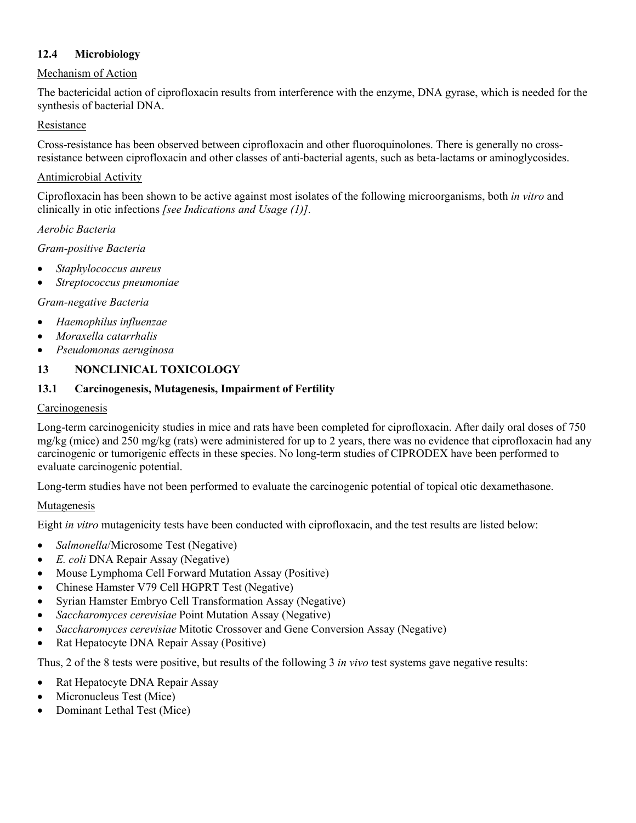# <span id="page-6-0"></span>**12.4 Microbiology**

## Mechanism of Action

The bactericidal action of ciprofloxacin results from interference with the enzyme, DNA gyrase, which is needed for the synthesis of bacterial DNA.

## Resistance

Cross-resistance has been observed between ciprofloxacin and other fluoroquinolones. There is generally no crossresistance between ciprofloxacin and other classes of anti-bacterial agents, such as beta-lactams or aminoglycosides.

### Antimicrobial Activity

Ciprofloxacin has been shown to be active against most isolates of the following microorganisms, both *in vitro* and clinically in otic infections *[see Indications and Usage (1)].*

### *Aerobic Bacteria*

*Gram-positive Bacteria*

- *Staphylococcus aureus*
- *Streptococcus pneumoniae*

### *Gram-negative Bacteria*

- *Haemophilus influenzae*
- *Moraxella catarrhalis*
- *Pseudomonas aeruginosa*

# **13 NONCLINICAL TOXICOLOGY**

## **13.1 Carcinogenesis, Mutagenesis, Impairment of Fertility**

#### **Carcinogenesis**

Long-term carcinogenicity studies in mice and rats have been completed for ciprofloxacin. After daily oral doses of 750 mg/kg (mice) and 250 mg/kg (rats) were administered for up to 2 years, there was no evidence that ciprofloxacin had any carcinogenic or tumorigenic effects in these species. No long-term studies of CIPRODEX have been performed to evaluate carcinogenic potential.

Long-term studies have not been performed to evaluate the carcinogenic potential of topical otic dexamethasone.

## Mutagenesis

Eight *in vitro* mutagenicity tests have been conducted with ciprofloxacin, and the test results are listed below:

- *Salmonella*/Microsome Test (Negative)
- *E. coli* DNA Repair Assay (Negative)
- Mouse Lymphoma Cell Forward Mutation Assay (Positive)
- Chinese Hamster V79 Cell HGPRT Test (Negative)
- Syrian Hamster Embryo Cell Transformation Assay (Negative)
- *Saccharomyces cerevisiae* Point Mutation Assay (Negative)
- *Saccharomyces cerevisiae* Mitotic Crossover and Gene Conversion Assay (Negative)
- Rat Hepatocyte DNA Repair Assay (Positive)

Thus, 2 of the 8 tests were positive, but results of the following 3 *in vivo* test systems gave negative results:

- Rat Hepatocyte DNA Repair Assay
- Micronucleus Test (Mice)
- Dominant Lethal Test (Mice)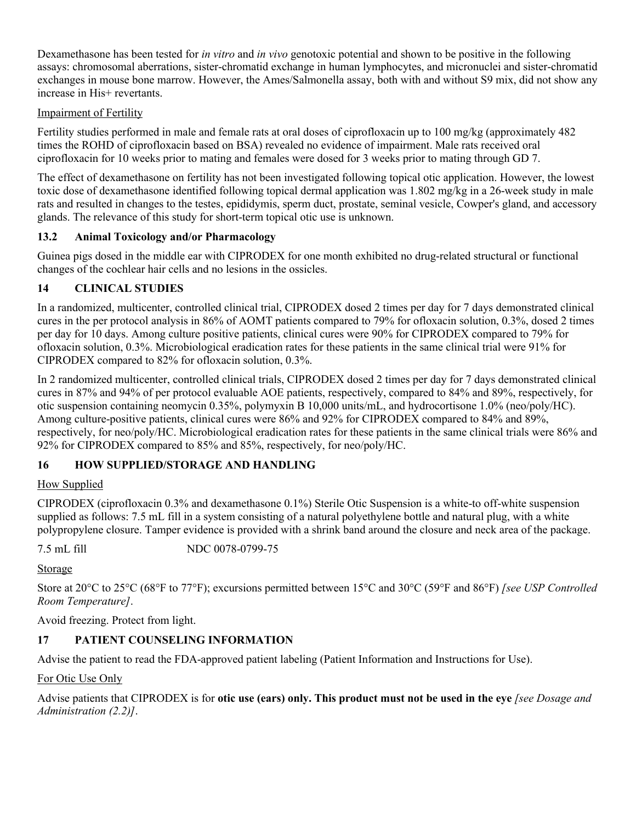<span id="page-7-0"></span>Dexamethasone has been tested for *in vitro* and *in vivo* genotoxic potential and shown to be positive in the following assays: chromosomal aberrations, sister-chromatid exchange in human lymphocytes, and micronuclei and sister-chromatid exchanges in mouse bone marrow. However, the Ames/Salmonella assay, both with and without S9 mix, did not show any increase in His+ revertants.

# Impairment of Fertility

Fertility studies performed in male and female rats at oral doses of ciprofloxacin up to 100 mg/kg (approximately 482 times the ROHD of ciprofloxacin based on BSA) revealed no evidence of impairment. Male rats received oral ciprofloxacin for 10 weeks prior to mating and females were dosed for 3 weeks prior to mating through GD 7.

The effect of dexamethasone on fertility has not been investigated following topical otic application. However, the lowest toxic dose of dexamethasone identified following topical dermal application was 1.802 mg/kg in a 26-week study in male rats and resulted in changes to the testes, epididymis, sperm duct, prostate, seminal vesicle, Cowper's gland, and accessory glands. The relevance of this study for short-term topical otic use is unknown.

# **13.2 Animal Toxicology and/or Pharmacology**

Guinea pigs dosed in the middle ear with CIPRODEX for one month exhibited no drug-related structural or functional changes of the cochlear hair cells and no lesions in the ossicles.

# **14 CLINICAL STUDIES**

In a randomized, multicenter, controlled clinical trial, CIPRODEX dosed 2 times per day for 7 days demonstrated clinical cures in the per protocol analysis in 86% of AOMT patients compared to 79% for ofloxacin solution, 0.3%, dosed 2 times per day for 10 days. Among culture positive patients, clinical cures were 90% for CIPRODEX compared to 79% for ofloxacin solution, 0.3%. Microbiological eradication rates for these patients in the same clinical trial were 91% for CIPRODEX compared to 82% for ofloxacin solution, 0.3%.

In 2 randomized multicenter, controlled clinical trials, CIPRODEX dosed 2 times per day for 7 days demonstrated clinical cures in 87% and 94% of per protocol evaluable AOE patients, respectively, compared to 84% and 89%, respectively, for otic suspension containing neomycin 0.35%, polymyxin B 10,000 units/mL, and hydrocortisone 1.0% (neo/poly/HC). Among culture-positive patients, clinical cures were 86% and 92% for CIPRODEX compared to 84% and 89%, respectively, for neo/poly/HC. Microbiological eradication rates for these patients in the same clinical trials were 86% and 92% for CIPRODEX compared to 85% and 85%, respectively, for neo/poly/HC.

# **16 HOW SUPPLIED/STORAGE AND HANDLING**

## How Supplied

CIPRODEX (ciprofloxacin 0.3% and dexamethasone 0.1%) Sterile Otic Suspension is a white-to off-white suspension supplied as follows: 7.5 mL fill in a system consisting of a natural polyethylene bottle and natural plug, with a white polypropylene closure. Tamper evidence is provided with a shrink band around the closure and neck area of the package.

7.5 mL fill NDC 0078-0799-75

Storage

Store at 20°C to 25°C (68°F to 77°F); excursions permitted between 15°C and 30°C (59°F and 86°F) *[see USP Controlled Room Temperature]*.

Avoid freezing. Protect from light.

# **17 PATIENT COUNSELING INFORMATION**

Advise the patient to read the FDA-approved patient labeling (Patient Information and Instructions for Use).

## For Otic Use Only

Advise patients that CIPRODEX is for **otic use (ears) only. This product must not be used in the eye** *[see Dosage and Administration (2.2)]*.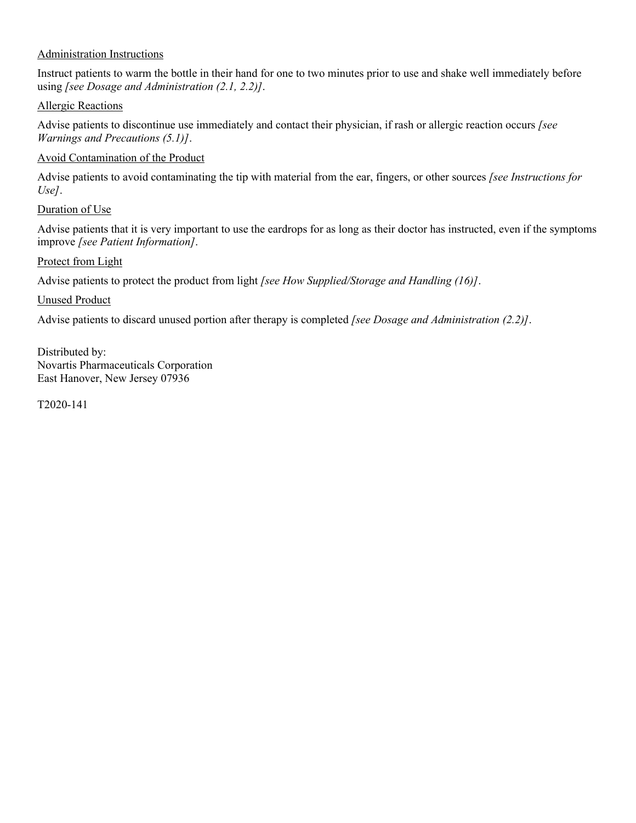## Administration Instructions

Instruct patients to warm the bottle in their hand for one to two minutes prior to use and shake well immediately before using *[see Dosage and Administration (2.1, 2.2)]*.

### Allergic Reactions

Advise patients to discontinue use immediately and contact their physician, if rash or allergic reaction occurs *[see Warnings and Precautions (5.1)]*.

## Avoid Contamination of the Product

Advise patients to avoid contaminating the tip with material from the ear, fingers, or other sources *[see Instructions for Use]*.

### Duration of Use

Advise patients that it is very important to use the eardrops for as long as their doctor has instructed, even if the symptoms improve *[see Patient Information]*.

### Protect from Light

Advise patients to protect the product from light *[see How Supplied/Storage and Handling (16)]*.

### Unused Product

Advise patients to discard unused portion after therapy is completed *[see Dosage and Administration (2.2)]*.

Distributed by: Novartis Pharmaceuticals Corporation East Hanover, New Jersey 07936

T2020-141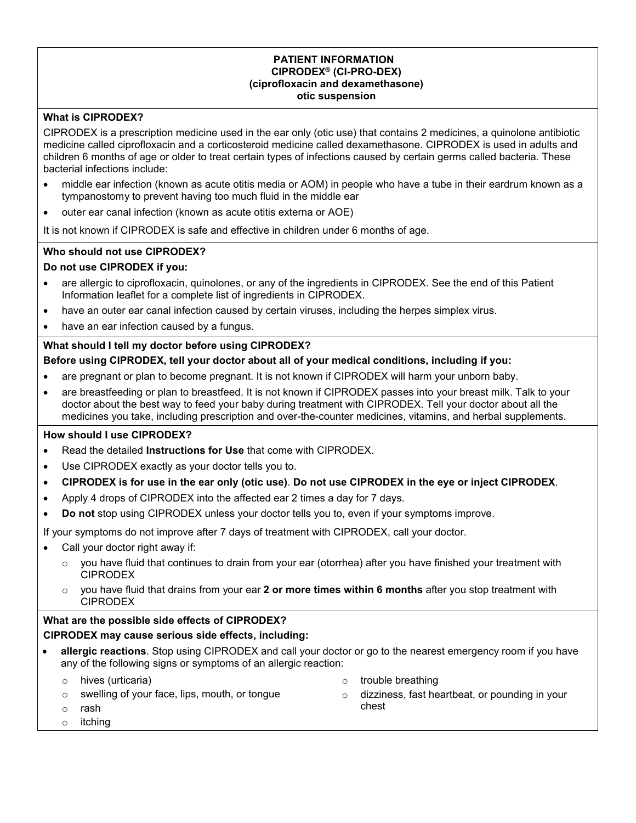#### **PATIENT INFORMATION CIPRODEX® (CI-PRO-DEX) (ciprofloxacin and dexamethasone) otic suspension**

### **What is CIPRODEX?**

CIPRODEX is a prescription medicine used in the ear only (otic use) that contains 2 medicines, a quinolone antibiotic medicine called ciprofloxacin and a corticosteroid medicine called dexamethasone. CIPRODEX is used in adults and children 6 months of age or older to treat certain types of infections caused by certain germs called bacteria. These bacterial infections include:

- middle ear infection (known as acute otitis media or AOM) in people who have a tube in their eardrum known as a tympanostomy to prevent having too much fluid in the middle ear
- outer ear canal infection (known as acute otitis externa or AOE)

It is not known if CIPRODEX is safe and effective in children under 6 months of age.

#### **Who should not use CIPRODEX?**

#### **Do not use CIPRODEX if you:**

- are allergic to ciprofloxacin, quinolones, or any of the ingredients in CIPRODEX. See the end of this Patient Information leaflet for a complete list of ingredients in CIPRODEX.
- have an outer ear canal infection caused by certain viruses, including the herpes simplex virus.
- have an ear infection caused by a fungus.

#### **What should I tell my doctor before using CIPRODEX?**

#### **Before using CIPRODEX, tell your doctor about all of your medical conditions, including if you:**

- are pregnant or plan to become pregnant. It is not known if CIPRODEX will harm your unborn baby.
- are breastfeeding or plan to breastfeed. It is not known if CIPRODEX passes into your breast milk. Talk to your doctor about the best way to feed your baby during treatment with CIPRODEX. Tell your doctor about all the medicines you take, including prescription and over-the-counter medicines, vitamins, and herbal supplements.

#### **How should I use CIPRODEX?**

- Read the detailed **Instructions for Use** that come with CIPRODEX.
- Use CIPRODEX exactly as your doctor tells you to.
- **CIPRODEX is for use in the ear only (otic use)**. **Do not use CIPRODEX in the eye or inject CIPRODEX**.
- Apply 4 drops of CIPRODEX into the affected ear 2 times a day for 7 days.
- **Do not** stop using CIPRODEX unless your doctor tells you to, even if your symptoms improve.

If your symptoms do not improve after 7 days of treatment with CIPRODEX, call your doctor.

- Call your doctor right away if:
	- $\circ$  you have fluid that continues to drain from your ear (otorrhea) after you have finished your treatment with CIPRODEX
	- you have fluid that drains from your ear 2 or more times within 6 months after you stop treatment with CIPRODEX

#### **What are the possible side effects of CIPRODEX?**

# **CIPRODEX may cause serious side effects, including:**

 **allergic reactions**. Stop using CIPRODEX and call your doctor or go to the nearest emergency room if you have any of the following signs or symptoms of an allergic reaction:

o hives (urticaria)

- o trouble breathing
- o swelling of your face, lips, mouth, or tongue
- o dizziness, fast heartbeat, or pounding in your chest

o rash o itching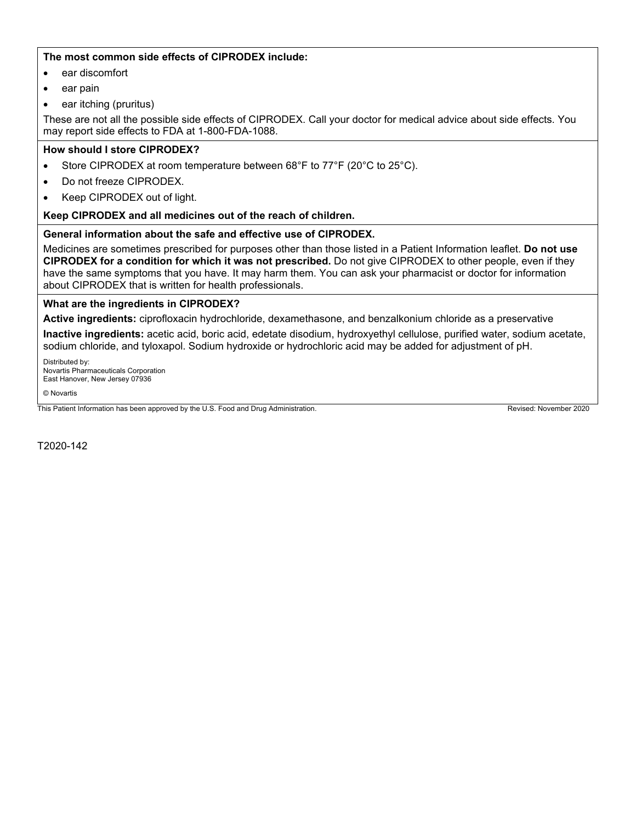#### **The most common side effects of CIPRODEX include:**

- ear discomfort
- ear pain
- ear itching (pruritus)

These are not all the possible side effects of CIPRODEX. Call your doctor for medical advice about side effects. You may report side effects to FDA at 1-800-FDA-1088.

#### **How should I store CIPRODEX?**

- Store CIPRODEX at room temperature between 68°F to 77°F (20°C to 25°C).
- Do not freeze CIPRODEX.
- Keep CIPRODEX out of light.

#### **Keep CIPRODEX and all medicines out of the reach of children.**

#### **General information about the safe and effective use of CIPRODEX.**

Medicines are sometimes prescribed for purposes other than those listed in a Patient Information leaflet. **Do not use CIPRODEX for a condition for which it was not prescribed.** Do not give CIPRODEX to other people, even if they have the same symptoms that you have. It may harm them. You can ask your pharmacist or doctor for information about CIPRODEX that is written for health professionals.

#### **What are the ingredients in CIPRODEX?**

**Active ingredients:** ciprofloxacin hydrochloride, dexamethasone, and benzalkonium chloride as a preservative

**Inactive ingredients:** acetic acid, boric acid, edetate disodium, hydroxyethyl cellulose, purified water, sodium acetate, sodium chloride, and tyloxapol. Sodium hydroxide or hydrochloric acid may be added for adjustment of pH.

Distributed by: Novartis Pharmaceuticals Corporation East Hanover, New Jersey 07936

© Novartis

This Patient Information has been approved by the U.S. Food and Drug Administration. This Proven by the U.S. Food and Drug Administration.

T2020-142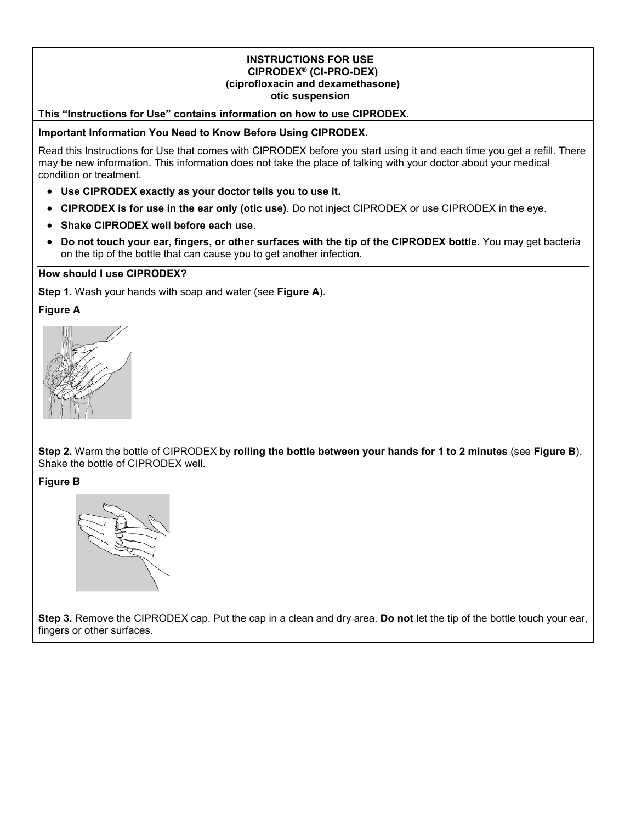#### **INSTRUCTIONS FOR USE CIPRODEX® (CI-PRO-DEX) (ciprofloxacin and dexamethasone) otic suspension**

#### **This "Instructions for Use" contains information on how to use CIPRODEX.**

#### **Important Information You Need to Know Before Using CIPRODEX.**

Read this Instructions for Use that comes with CIPRODEX before you start using it and each time you get a refill. There may be new information. This information does not take the place of talking with your doctor about your medical condition or treatment.

- **Use CIPRODEX exactly as your doctor tells you to use it.**
- **CIPRODEX is for use in the ear only (otic use)**. Do not inject CIPRODEX or use CIPRODEX in the eye.
- **Shake CIPRODEX well before each use**.
- **Do not touch your ear, fingers, or other surfaces with the tip of the CIPRODEX bottle**. You may get bacteria on the tip of the bottle that can cause you to get another infection.

#### **How should I use CIPRODEX?**

**Step 1.** Wash your hands with soap and water (see **Figure A**).

**Figure A**

**Step 2.** Warm the bottle of CIPRODEX by **rolling the bottle between your hands for 1 to 2 minutes** (see **Figure B**). Shake the bottle of CIPRODEX well.

**Figure B**



**Step 3.** Remove the CIPRODEX cap. Put the cap in a clean and dry area. **Do not** let the tip of the bottle touch your ear, fingers or other surfaces.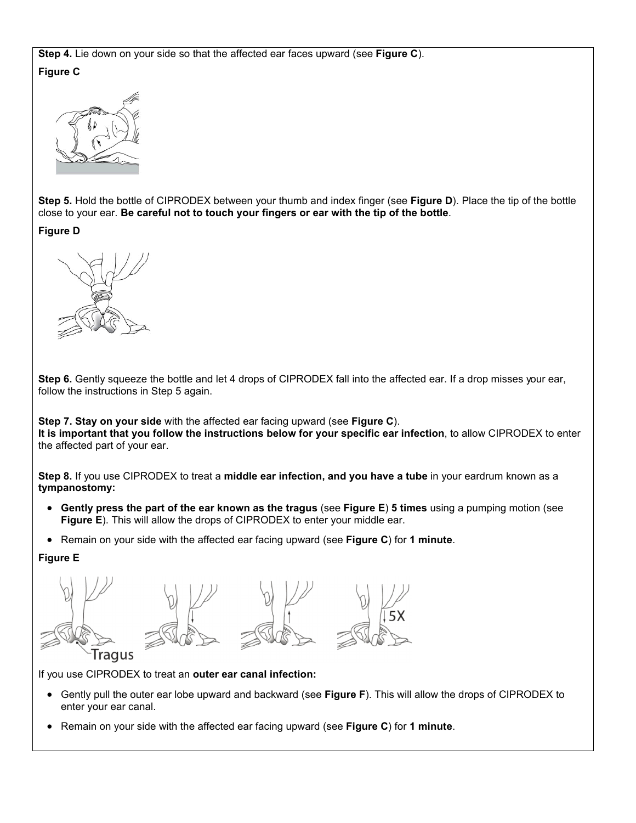**Step 4.** Lie down on your side so that the affected ear faces upward (see **Figure C**). **Figure C**



**Step 5.** Hold the bottle of CIPRODEX between your thumb and index finger (see **Figure D**). Place the tip of the bottle close to your ear. **Be careful not to touch your fingers or ear with the tip of the bottle**.

**Figure D**



**Step 6.** Gently squeeze the bottle and let 4 drops of CIPRODEX fall into the affected ear. If a drop misses your ear, follow the instructions in Step 5 again.

**Step 7. Stay on your side** with the affected ear facing upward (see **Figure C**). **It is important that you follow the instructions below for your specific ear infection**, to allow CIPRODEX to enter the affected part of your ear.

**Step 8.** If you use CIPRODEX to treat a **middle ear infection, and you have a tube** in your eardrum known as a **tympanostomy:**

- **Gently press the part of the ear known as the tragus** (see **Figure E**) **5 times** using a pumping motion (see **Figure E**). This will allow the drops of CIPRODEX to enter your middle ear.
- Remain on your side with the affected ear facing upward (see **Figure C**) for **1 minute**.

#### **Figure E**



If you use CIPRODEX to treat an **outer ear canal infection:**

- Gently pull the outer ear lobe upward and backward (see **Figure F**). This will allow the drops of CIPRODEX to enter your ear canal.
- Remain on your side with the affected ear facing upward (see **Figure C**) for **1 minute**.